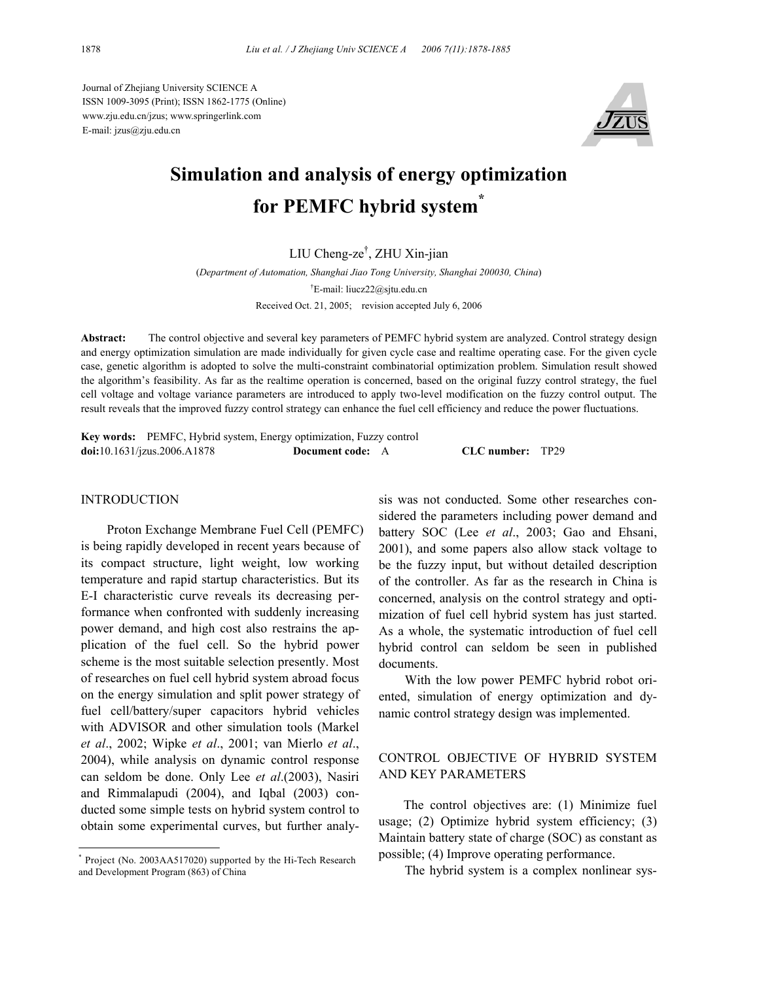Journal of Zhejiang University SCIENCE A ISSN 1009-3095 (Print); ISSN 1862-1775 (Online) www.zju.edu.cn/jzus; www.springerlink.com E-mail: jzus@zju.edu.cn



# **Simulation and analysis of energy optimization for PEMFC hybrid system\***

# LIU Cheng-ze† , ZHU Xin-jian

(*Department of Automation, Shanghai Jiao Tong University, Shanghai 200030, China*) † E-mail: liucz22@sjtu.edu.cn Received Oct. 21, 2005; revision accepted July 6, 2006

**Abstract:** The control objective and several key parameters of PEMFC hybrid system are analyzed. Control strategy design and energy optimization simulation are made individually for given cycle case and realtime operating case. For the given cycle case, genetic algorithm is adopted to solve the multi-constraint combinatorial optimization problem. Simulation result showed the algorithm's feasibility. As far as the realtime operation is concerned, based on the original fuzzy control strategy, the fuel cell voltage and voltage variance parameters are introduced to apply two-level modification on the fuzzy control output. The result reveals that the improved fuzzy control strategy can enhance the fuel cell efficiency and reduce the power fluctuations.

**Key words:** PEMFC, Hybrid system, Energy optimization, Fuzzy control **doi:**10.1631/jzus.2006.A1878 **Document code:** A **CLC number:** TP29

## **INTRODUCTION**

Proton Exchange Membrane Fuel Cell (PEMFC) is being rapidly developed in recent years because of its compact structure, light weight, low working temperature and rapid startup characteristics. But its E-I characteristic curve reveals its decreasing performance when confronted with suddenly increasing power demand, and high cost also restrains the application of the fuel cell. So the hybrid power scheme is the most suitable selection presently. Most of researches on fuel cell hybrid system abroad focus on the energy simulation and split power strategy of fuel cell/battery/super capacitors hybrid vehicles with ADVISOR and other simulation tools (Markel *et al*., 2002; Wipke *et al*., 2001; van Mierlo *et al*., 2004), while analysis on dynamic control response can seldom be done. Only Lee *et al*.(2003), Nasiri and Rimmalapudi (2004), and Iqbal (2003) conducted some simple tests on hybrid system control to obtain some experimental curves, but further analy-

sis was not conducted. Some other researches considered the parameters including power demand and battery SOC (Lee *et al*., 2003; Gao and Ehsani, 2001), and some papers also allow stack voltage to be the fuzzy input, but without detailed description of the controller. As far as the research in China is concerned, analysis on the control strategy and optimization of fuel cell hybrid system has just started. As a whole, the systematic introduction of fuel cell hybrid control can seldom be seen in published documents.

With the low power PEMFC hybrid robot oriented, simulation of energy optimization and dynamic control strategy design was implemented.

# CONTROL OBJECTIVE OF HYBRID SYSTEM AND KEY PARAMETERS

The control objectives are: (1) Minimize fuel usage; (2) Optimize hybrid system efficiency; (3) Maintain battery state of charge (SOC) as constant as possible; (4) Improve operating performance.

The hybrid system is a complex nonlinear sys-

<sup>\*</sup> Project (No. 2003AA517020) supported by the Hi-Tech Research and Development Program (863) of China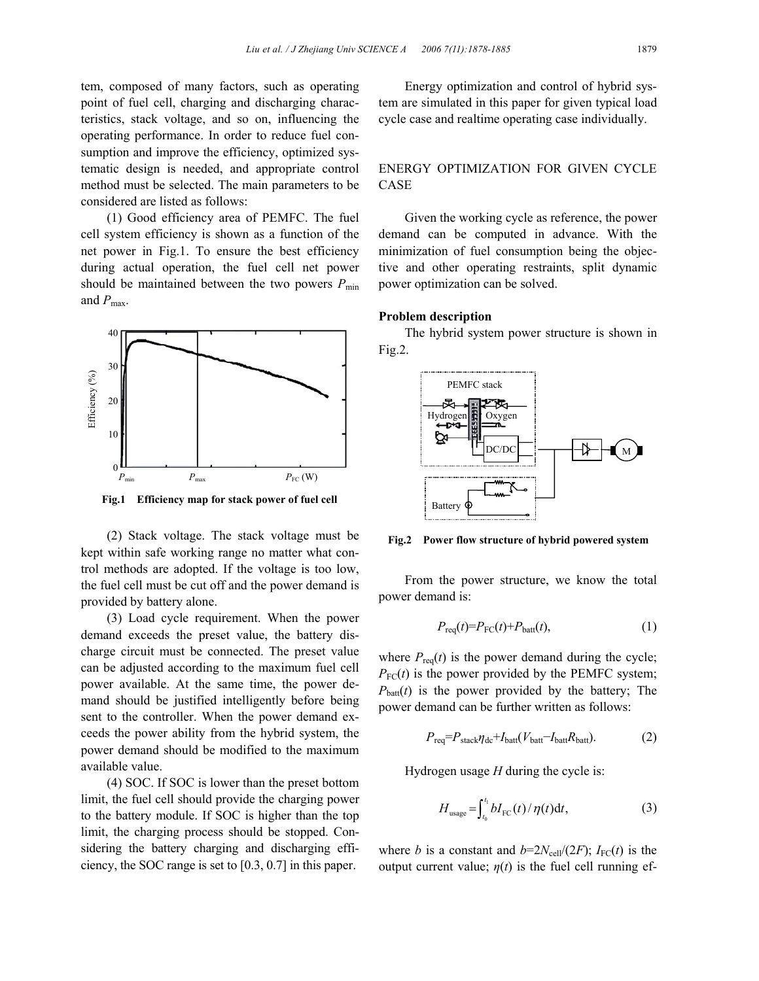tem, composed of many factors, such as operating point of fuel cell, charging and discharging characteristics, stack voltage, and so on, influencing the operating performance. In order to reduce fuel consumption and improve the efficiency, optimized systematic design is needed, and appropriate control method must be selected. The main parameters to be considered are listed as follows:

(1) Good efficiency area of PEMFC. The fuel cell system efficiency is shown as a function of the net power in Fig.1. To ensure the best efficiency during actual operation, the fuel cell net power should be maintained between the two powers  $P_{\text{min}}$ and  $P_{\text{max}}$ .



**Fig.1 Efficiency map for stack power of fuel cell**

(2) Stack voltage. The stack voltage must be kept within safe working range no matter what control methods are adopted. If the voltage is too low, the fuel cell must be cut off and the power demand is provided by battery alone.

(3) Load cycle requirement. When the power demand exceeds the preset value, the battery discharge circuit must be connected. The preset value can be adjusted according to the maximum fuel cell power available. At the same time, the power demand should be justified intelligently before being sent to the controller. When the power demand exceeds the power ability from the hybrid system, the power demand should be modified to the maximum available value.

(4) SOC. If SOC is lower than the preset bottom limit, the fuel cell should provide the charging power to the battery module. If SOC is higher than the top limit, the charging process should be stopped. Considering the battery charging and discharging efficiency, the SOC range is set to [0.3, 0.7] in this paper.

Energy optimization and control of hybrid system are simulated in this paper for given typical load cycle case and realtime operating case individually.

# ENERGY OPTIMIZATION FOR GIVEN CYCLE CASE

Given the working cycle as reference, the power demand can be computed in advance. With the minimization of fuel consumption being the objective and other operating restraints, split dynamic power optimization can be solved.

#### **Problem description**

The hybrid system power structure is shown in Fig.2.



**Fig.2 Power flow structure of hybrid powered system**

From the power structure, we know the total power demand is:

$$
P_{\text{req}}(t) = P_{\text{FC}}(t) + P_{\text{batt}}(t),\tag{1}
$$

where  $P_{\text{req}}(t)$  is the power demand during the cycle;  $P_{\text{FC}}(t)$  is the power provided by the PEMFC system;  $P_{\text{batt}}(t)$  is the power provided by the battery; The power demand can be further written as follows:

$$
P_{\text{req}} = P_{\text{stack}} \eta_{\text{dc}} + I_{\text{batt}} (V_{\text{batt}} - I_{\text{batt}} R_{\text{batt}}). \tag{2}
$$

Hydrogen usage *H* during the cycle is:

$$
H_{\text{usage}} = \int_{t_0}^{t_1} b I_{\text{FC}}(t) / \eta(t) \mathrm{d}t,\tag{3}
$$

where *b* is a constant and  $b=2N_{cell}/(2F)$ ;  $I_{FC}(t)$  is the output current value;  $\eta(t)$  is the fuel cell running ef-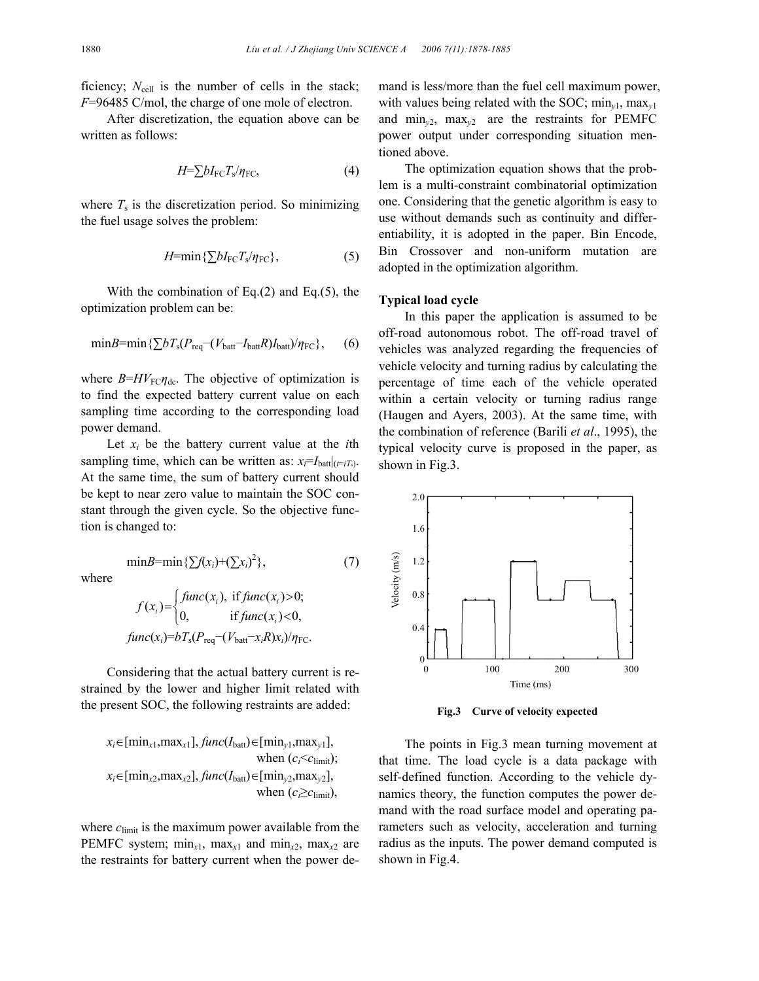$(7)$ 

ficiency;  $N_{cell}$  is the number of cells in the stack; *F*=96485 C/mol, the charge of one mole of electron.

After discretization, the equation above can be written as follows:

$$
H=\sum bI_{\rm FC}T_{\rm s}/\eta_{\rm FC},\tag{4}
$$

where  $T<sub>s</sub>$  is the discretization period. So minimizing the fuel usage solves the problem:

$$
H = \min\{\sum bI_{\rm FC}T_s/\eta_{\rm FC}\},\tag{5}
$$

With the combination of Eq. $(2)$  and Eq. $(5)$ , the optimization problem can be:

$$
\min B = \min \{ \sum b T_s (P_{\text{req}} - (V_{\text{batt}} - I_{\text{batt}} R) I_{\text{batt}}) / \eta_{\text{FC}} \},\tag{6}
$$

where  $B=HV_{\text{FC}}\eta_{\text{dc}}$ . The objective of optimization is to find the expected battery current value on each sampling time according to the corresponding load power demand.

Let  $x_i$  be the battery current value at the *i*th sampling time, which can be written as:  $x_i = I_{\text{batt}}|_{(t=i)}$ . At the same time, the sum of battery current should be kept to near zero value to maintain the SOC constant through the given cycle. So the objective function is changed to:

min*B*=min ${\{\sum f(x_i)+(\sum x_i)^2\}}$ 

where

$$
f(x_i) = \begin{cases} \n\text{func}(x_i), & \text{if } \text{func}(x_i) > 0; \\ \n0, & \text{if } \text{func}(x_i) < 0, \n\end{cases}
$$
\n
$$
\text{func}(x_i) = bT_s(P_{\text{req}} - (V_{\text{batt}} - x_i R)x_i)/\eta_{\text{FC}}.
$$

Considering that the actual battery current is restrained by the lower and higher limit related with the present SOC, the following restraints are added:

$$
x_i \in [\min_{x1}, \max_{x1}], \text{func}(I_{\text{batt}}) \in [\min_{y1}, \max_{y1}],
$$
\n
$$
\text{when } (c_i < c_{\text{limit}});
$$
\n
$$
x_i \in [\min_{x2}, \max_{x2}], \text{func}(I_{\text{batt}}) \in [\min_{y2}, \max_{y2}],
$$
\n
$$
\text{when } (c_i \ge c_{\text{limit}}),
$$

where  $c<sub>limit</sub>$  is the maximum power available from the PEMFC system;  $\min_{x_1}$ ,  $\max_{x_1}$  and  $\min_{x_2}$ ,  $\max_{x_2}$  are the restraints for battery current when the power demand is less/more than the fuel cell maximum power, with values being related with the SOC; min*y*1, max*y*<sup>1</sup> and  $\min_{v_1}$ ,  $\max_{v_2}$  are the restraints for PEMFC power output under corresponding situation mentioned above.

The optimization equation shows that the problem is a multi-constraint combinatorial optimization one. Considering that the genetic algorithm is easy to use without demands such as continuity and differentiability, it is adopted in the paper. Bin Encode, Bin Crossover and non-uniform mutation are adopted in the optimization algorithm.

#### **Typical load cycle**

In this paper the application is assumed to be off-road autonomous robot. The off-road travel of vehicles was analyzed regarding the frequencies of vehicle velocity and turning radius by calculating the percentage of time each of the vehicle operated within a certain velocity or turning radius range (Haugen and Ayers, 2003). At the same time, with the combination of reference (Barili *et al*., 1995), the typical velocity curve is proposed in the paper, as shown in Fig.3.



**Fig.3 Curve of velocity expected**

The points in Fig.3 mean turning movement at that time. The load cycle is a data package with self-defined function. According to the vehicle dynamics theory, the function computes the power demand with the road surface model and operating parameters such as velocity, acceleration and turning radius as the inputs. The power demand computed is shown in Fig.4.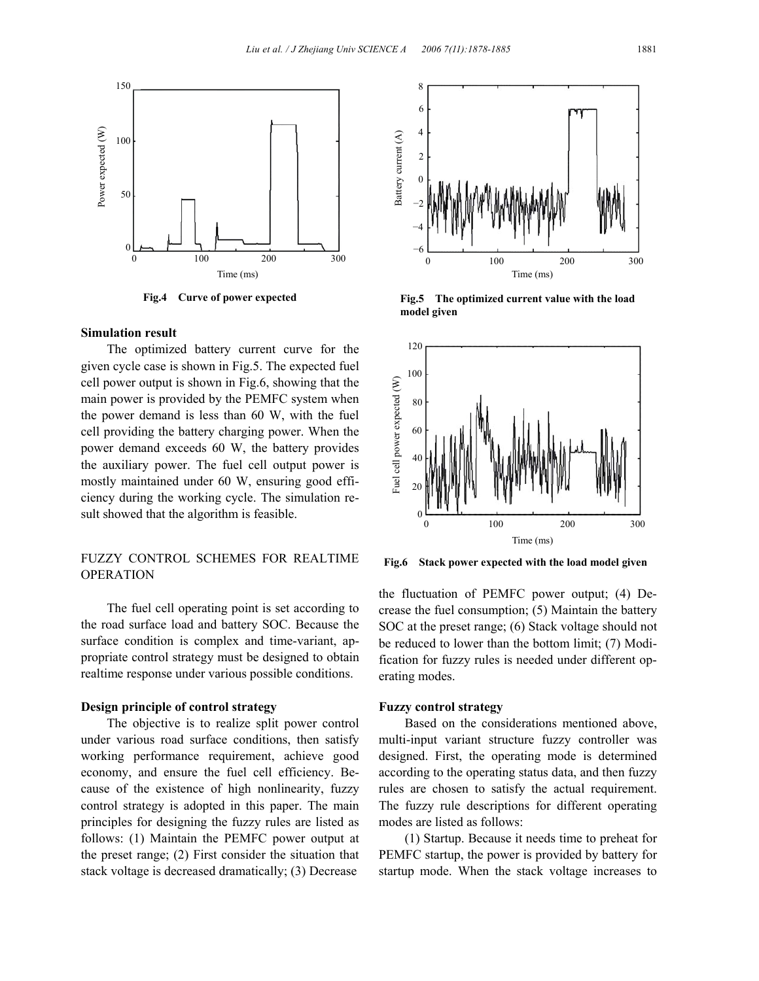

## **Simulation result**

The optimized battery current curve for the given cycle case is shown in Fig.5. The expected fuel cell power output is shown in Fig.6, showing that the main power is provided by the PEMFC system when the power demand is less than 60 W, with the fuel cell providing the battery charging power. When the power demand exceeds 60 W, the battery provides the auxiliary power. The fuel cell output power is mostly maintained under 60 W, ensuring good efficiency during the working cycle. The simulation result showed that the algorithm is feasible.

# FUZZY CONTROL SCHEMES FOR REALTIME OPERATION

The fuel cell operating point is set according to the road surface load and battery SOC. Because the surface condition is complex and time-variant, appropriate control strategy must be designed to obtain realtime response under various possible conditions.

## **Design principle of control strategy**

The objective is to realize split power control under various road surface conditions, then satisfy working performance requirement, achieve good economy, and ensure the fuel cell efficiency. Because of the existence of high nonlinearity, fuzzy control strategy is adopted in this paper. The main principles for designing the fuzzy rules are listed as follows: (1) Maintain the PEMFC power output at the preset range; (2) First consider the situation that stack voltage is decreased dramatically; (3) Decrease



**Fig.4 Curve of power expected Fig.5 The optimized current value with the load model given**



**Fig.6 Stack power expected with the load model given**

the fluctuation of PEMFC power output; (4) Decrease the fuel consumption; (5) Maintain the battery SOC at the preset range; (6) Stack voltage should not be reduced to lower than the bottom limit; (7) Modification for fuzzy rules is needed under different operating modes.

### **Fuzzy control strategy**

Based on the considerations mentioned above, multi-input variant structure fuzzy controller was designed. First, the operating mode is determined according to the operating status data, and then fuzzy rules are chosen to satisfy the actual requirement. The fuzzy rule descriptions for different operating modes are listed as follows:

(1) Startup. Because it needs time to preheat for PEMFC startup, the power is provided by battery for startup mode. When the stack voltage increases to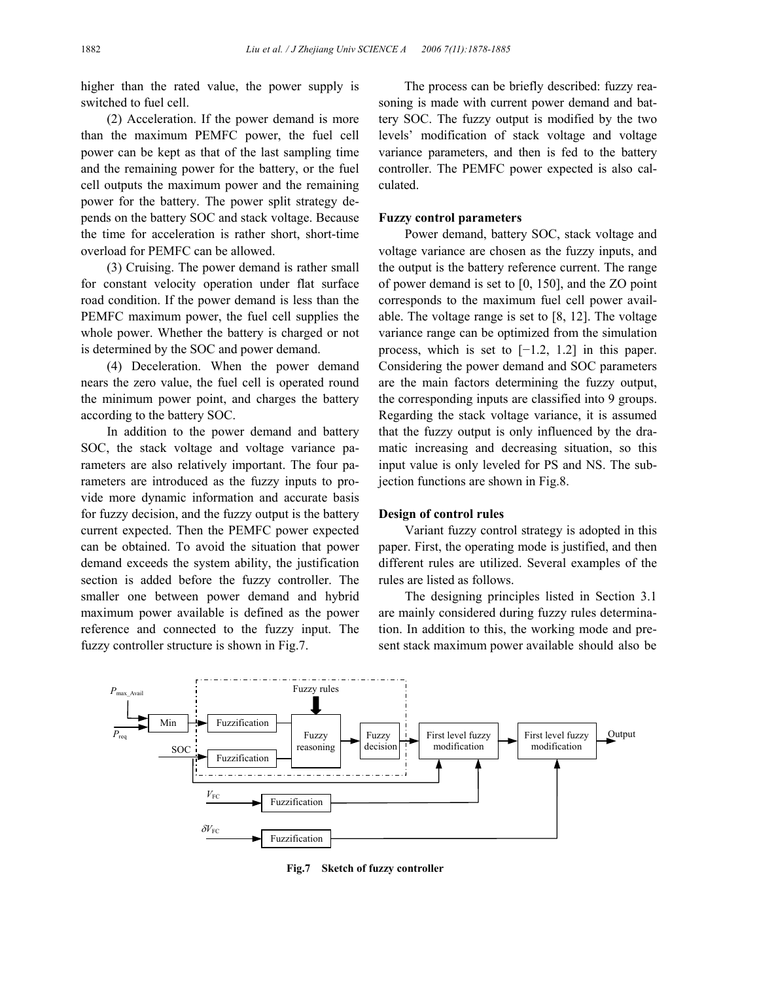higher than the rated value, the power supply is switched to fuel cell.

(2) Acceleration. If the power demand is more than the maximum PEMFC power, the fuel cell power can be kept as that of the last sampling time and the remaining power for the battery, or the fuel cell outputs the maximum power and the remaining power for the battery. The power split strategy depends on the battery SOC and stack voltage. Because the time for acceleration is rather short, short-time overload for PEMFC can be allowed.

(3) Cruising. The power demand is rather small for constant velocity operation under flat surface road condition. If the power demand is less than the PEMFC maximum power, the fuel cell supplies the whole power. Whether the battery is charged or not is determined by the SOC and power demand.

(4) Deceleration. When the power demand nears the zero value, the fuel cell is operated round the minimum power point, and charges the battery according to the battery SOC.

In addition to the power demand and battery SOC, the stack voltage and voltage variance parameters are also relatively important. The four parameters are introduced as the fuzzy inputs to provide more dynamic information and accurate basis for fuzzy decision, and the fuzzy output is the battery current expected. Then the PEMFC power expected can be obtained. To avoid the situation that power demand exceeds the system ability, the justification section is added before the fuzzy controller. The smaller one between power demand and hybrid maximum power available is defined as the power reference and connected to the fuzzy input. The fuzzy controller structure is shown in Fig.7.

The process can be briefly described: fuzzy reasoning is made with current power demand and battery SOC. The fuzzy output is modified by the two levels' modification of stack voltage and voltage variance parameters, and then is fed to the battery controller. The PEMFC power expected is also calculated.

## **Fuzzy control parameters**

Power demand, battery SOC, stack voltage and voltage variance are chosen as the fuzzy inputs, and the output is the battery reference current. The range of power demand is set to [0, 150], and the ZO point corresponds to the maximum fuel cell power available. The voltage range is set to [8, 12]. The voltage variance range can be optimized from the simulation process, which is set to [−1.2, 1.2] in this paper. Considering the power demand and SOC parameters are the main factors determining the fuzzy output, the corresponding inputs are classified into 9 groups. Regarding the stack voltage variance, it is assumed that the fuzzy output is only influenced by the dramatic increasing and decreasing situation, so this input value is only leveled for PS and NS. The subjection functions are shown in Fig.8.

## **Design of control rules**

Variant fuzzy control strategy is adopted in this paper. First, the operating mode is justified, and then different rules are utilized. Several examples of the rules are listed as follows.

The designing principles listed in Section 3.1 are mainly considered during fuzzy rules determination. In addition to this, the working mode and present stack maximum power available should also be



**Fig.7 Sketch of fuzzy controller**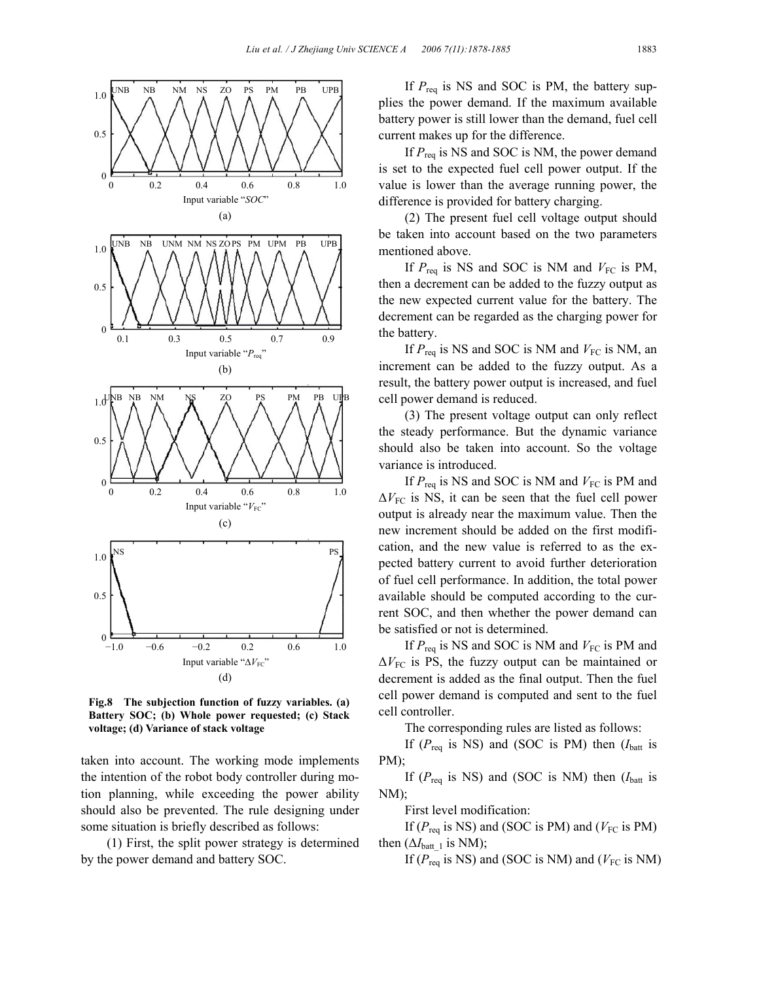

**Fig.8 The subjection function of fuzzy variables. (a) Battery SOC; (b) Whole power requested; (c) Stack voltage; (d) Variance of stack voltage**

taken into account. The working mode implements the intention of the robot body controller during motion planning, while exceeding the power ability should also be prevented. The rule designing under some situation is briefly described as follows:

(1) First, the split power strategy is determined by the power demand and battery SOC.

If  $P_{\text{req}}$  is NS and SOC is PM, the battery supplies the power demand. If the maximum available battery power is still lower than the demand, fuel cell current makes up for the difference.

If  $P_{\text{rea}}$  is NS and SOC is NM, the power demand is set to the expected fuel cell power output. If the value is lower than the average running power, the difference is provided for battery charging.

(2) The present fuel cell voltage output should be taken into account based on the two parameters mentioned above.

If  $P_{\text{req}}$  is NS and SOC is NM and  $V_{\text{FC}}$  is PM, then a decrement can be added to the fuzzy output as the new expected current value for the battery. The decrement can be regarded as the charging power for the battery.

If  $P_{\text{req}}$  is NS and SOC is NM and  $V_{\text{FC}}$  is NM, an increment can be added to the fuzzy output. As a result, the battery power output is increased, and fuel cell power demand is reduced.

(3) The present voltage output can only reflect the steady performance. But the dynamic variance should also be taken into account. So the voltage variance is introduced.

If  $P_{\text{req}}$  is NS and SOC is NM and  $V_{\text{FC}}$  is PM and  $\Delta V_{\text{FC}}$  is NS, it can be seen that the fuel cell power output is already near the maximum value. Then the new increment should be added on the first modification, and the new value is referred to as the expected battery current to avoid further deterioration of fuel cell performance. In addition, the total power available should be computed according to the current SOC, and then whether the power demand can be satisfied or not is determined.

If  $P_{\text{req}}$  is NS and SOC is NM and  $V_{\text{FC}}$  is PM and  $\Delta V_{\text{FC}}$  is PS, the fuzzy output can be maintained or decrement is added as the final output. Then the fuel cell power demand is computed and sent to the fuel cell controller.

The corresponding rules are listed as follows:

If  $(P_{\text{req}}$  is NS) and (SOC is PM) then  $(I_{\text{batt}})$  is PM);

If  $(P_{\text{req}}$  is NS) and (SOC is NM) then  $(I_{\text{batt}})$  is NM);

First level modification:

If ( $P_{\text{req}}$  is NS) and (SOC is PM) and ( $V_{\text{FC}}$  is PM) then  $(\Delta I_{\text{batt }1}$  is NM);

If ( $P_{\text{req}}$  is NS) and (SOC is NM) and ( $V_{\text{FC}}$  is NM)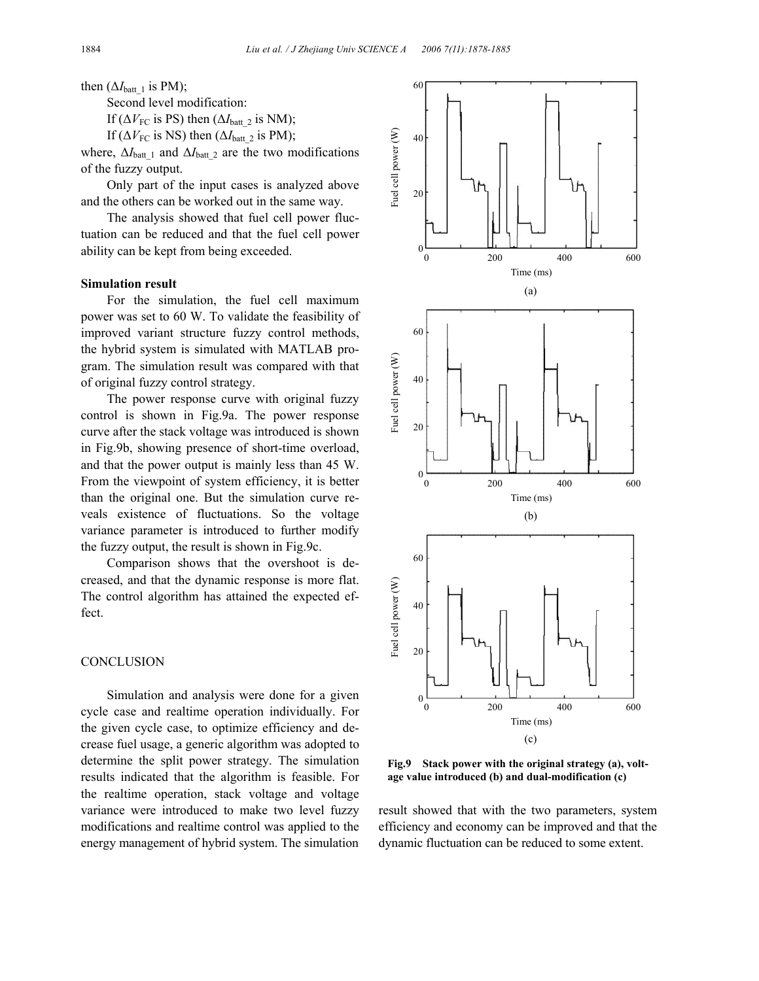then  $(\Delta I_{\text{batt } 1}$  is PM);

Second level modification:

If ( $\Delta V_{\text{FC}}$  is PS) then ( $\Delta I_{\text{batt}}$ <sub>2</sub> is NM);

If ( $\Delta V_{\text{FC}}$  is NS) then ( $\Delta I_{\text{batt}}$  2 is PM);

where,  $\Delta I_{\text{batt }1}$  and  $\Delta I_{\text{batt }2}$  are the two modifications of the fuzzy output.

Only part of the input cases is analyzed above and the others can be worked out in the same way.

The analysis showed that fuel cell power fluctuation can be reduced and that the fuel cell power ability can be kept from being exceeded.

### **Simulation result**

For the simulation, the fuel cell maximum power was set to 60 W. To validate the feasibility of improved variant structure fuzzy control methods, the hybrid system is simulated with MATLAB program. The simulation result was compared with that of original fuzzy control strategy.

The power response curve with original fuzzy control is shown in Fig.9a. The power response curve after the stack voltage was introduced is shown in Fig.9b, showing presence of short-time overload, and that the power output is mainly less than 45 W. From the viewpoint of system efficiency, it is better than the original one. But the simulation curve reveals existence of fluctuations. So the voltage variance parameter is introduced to further modify the fuzzy output, the result is shown in Fig.9c.

Comparison shows that the overshoot is decreased, and that the dynamic response is more flat. The control algorithm has attained the expected effect.

## **CONCLUSION**

Simulation and analysis were done for a given cycle case and realtime operation individually. For the given cycle case, to optimize efficiency and decrease fuel usage, a generic algorithm was adopted to determine the split power strategy. The simulation results indicated that the algorithm is feasible. For the realtime operation, stack voltage and voltage variance were introduced to make two level fuzzy modifications and realtime control was applied to the energy management of hybrid system. The simulation



**Fig.9 Stack power with the original strategy (a), voltage value introduced (b) and dual-modification (c)**

result showed that with the two parameters, system efficiency and economy can be improved and that the dynamic fluctuation can be reduced to some extent.